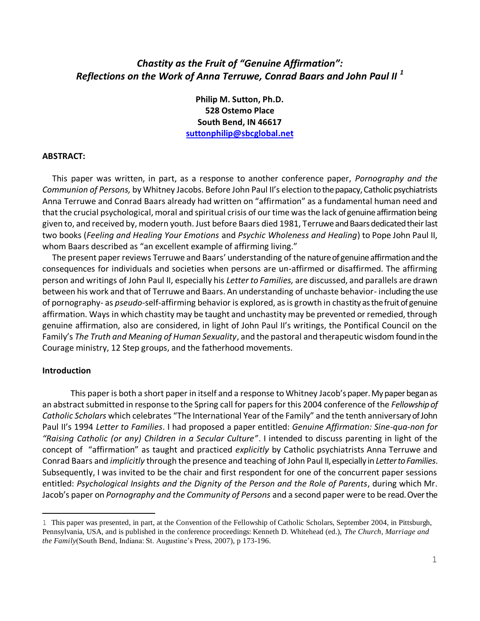# *Chastity as the Fruit of "Genuine Affirmation": Reflections on the Work of Anna Terruwe, Conrad Baars and John Paul II <sup>1</sup>*

**Philip M. Sutton, Ph.D. 528 Ostemo Place South Bend, IN 46617 [suttonphilip@sbcglobal.net](mailto:suttonphilip@sbcglobal.net)**

#### **ABSTRACT:**

 This paper was written, in part, as a response to another conference paper, *Pornography and the Communion of Persons,* by Whitney Jacobs. Before John Paul II's election to the papacy, Catholic psychiatrists Anna Terruwe and Conrad Baars already had written on "affirmation" as a fundamental human need and that the crucial psychological, moral and spiritual crisis of our time was the lack of genuine affirmation being given to, and received by, modern youth. Just before Baars died 1981, Terruwe and Baars dedicated their last two books (*Feeling and Healing Your Emotions* and *Psychic Wholeness and Healing*) to Pope John Paul II, whom Baars described as "an excellent example of affirming living."

 The present paper reviews Terruwe and Baars' understanding of the nature of genuine affirmation and the consequences for individuals and societies when persons are un-affirmed or disaffirmed. The affirming person and writings of John Paul II, especially his *Letter to Families,* are discussed, and parallels are drawn between his work and that of Terruwe and Baars. An understanding of unchaste behavior- including the use of pornography- as *pseudo*-self-affirming behavior is explored, as is growth in chastity as the fruit of genuine affirmation. Ways in which chastity may be taught and unchastity may be prevented or remedied, through genuine affirmation, also are considered, in light of John Paul II's writings, the Pontifical Council on the Family's *The Truth and Meaning of Human Sexuality*, and the pastoral and therapeutic wisdom found in the Courage ministry, 12 Step groups, and the fatherhood movements.

#### **Introduction**

i<br>L

This paper is both a short paper in itself and a response to Whitney Jacob's paper. My paper began as an abstract submitted in response to the Spring call for papers for this 2004 conference of the *Fellowship of Catholic Scholars* which celebrates "The International Year of the Family" and the tenth anniversary of John Paul II's 1994 *Letter to Families*. I had proposed a paper entitled: *Genuine Affirmation: Sine-qua-non for "Raising Catholic (or any) Children in a Secular Culture"*. I intended to discuss parenting in light of the concept of "affirmation" as taught and practiced *explicitly* by Catholic psychiatrists Anna Terruwe and Conrad Baars and *implicitly* through the presence and teaching of John Paul II, especially in *Letter to Families*. Subsequently, I was invited to be the chair and first respondent for one of the concurrent paper sessions entitled: *Psychological Insights and the Dignity of the Person and the Role of Parents*, during which Mr. Jacob's paper on *Pornography and the Community of Persons* and a second paper were to be read. Over the

<sup>1</sup> This paper was presented, in part, at the Convention of the Fellowship of Catholic Scholars, September 2004, in Pittsburgh, Pennsylvania, USA, and is published in the conference proceedings: Kenneth D. Whitehead (ed.), *The Church, Marriage and the Family*(South Bend, Indiana: St. Augustine's Press, 2007), p 173-196.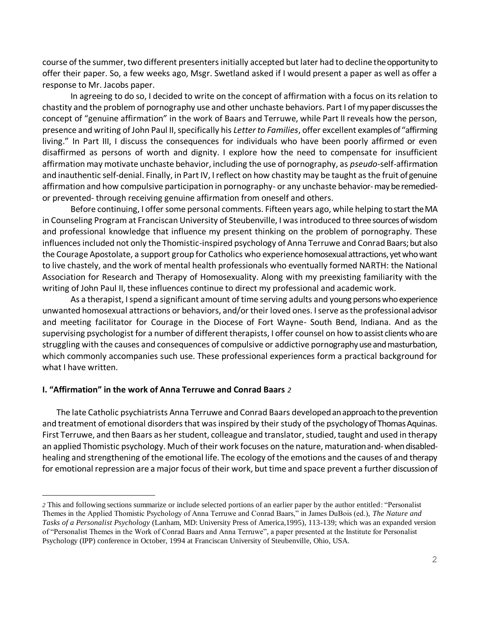course of the summer, two different presenters initially accepted but later had to decline the opportunity to offer their paper. So, a few weeks ago, Msgr. Swetland asked if I would present a paper as well as offer a response to Mr. Jacobs paper.

In agreeing to do so, I decided to write on the concept of affirmation with a focus on its relation to chastity and the problem of pornography use and other unchaste behaviors. Part I of my paper discusses the concept of "genuine affirmation" in the work of Baars and Terruwe, while Part II reveals how the person, presence and writing of John Paul II, specifically his *Letter to Families*, offer excellent examples of "affirming living." In Part III, I discuss the consequences for individuals who have been poorly affirmed or even disaffirmed as persons of worth and dignity. I explore how the need to compensate for insufficient affirmation may motivate unchaste behavior, including the use of pornography, as *pseudo*-self-affirmation and inauthentic self-denial. Finally, in Part IV, I reflect on how chastity may be taught as the fruit of genuine affirmation and how compulsive participation in pornography- or any unchaste behavior-may be remediedor prevented- through receiving genuine affirmation from oneself and others.

Before continuing, I offer some personal comments. Fifteen years ago, while helping to start the MA in Counseling Program at Franciscan University of Steubenville, I was introduced to three sources of wisdom and professional knowledge that influence my present thinking on the problem of pornography. These influences included not only the Thomistic-inspired psychology of Anna Terruwe and Conrad Baars; but also the Courage Apostolate, a support group for Catholics who experience homosexual attractions, yet who want to live chastely, and the work of mental health professionals who eventually formed NARTH: the National Association for Research and Therapy of Homosexuality. Along with my preexisting familiarity with the writing of John Paul II, these influences continue to direct my professional and academic work.

As a therapist, I spend a significant amount of time serving adults and young persons who experience unwanted homosexual attractions or behaviors, and/or their loved ones. I serve as the professional advisor and meeting facilitator for Courage in the Diocese of Fort Wayne- South Bend, Indiana. And as the supervising psychologist for a number of different therapists, I offer counsel on how to assist clients who are struggling with the causes and consequences of compulsive or addictive pornography use and masturbation, which commonly accompanies such use. These professional experiences form a practical background for what I have written.

### **I. "Affirmation" in the work of Anna Terruwe and Conrad Baars** *2*

i<br>L

The late Catholic psychiatrists Anna Terruwe and Conrad Baars developed an approach to the prevention and treatment of emotional disorders that was inspired by their study of the psychology of Thomas Aquinas. First Terruwe, and then Baars as her student, colleague and translator, studied, taught and used in therapy an applied Thomistic psychology. Much of their work focuses on the nature, maturation and-when disabledhealing and strengthening of the emotional life. The ecology of the emotions and the causes of and therapy for emotional repression are a major focus of their work, but time and space prevent a further discussion of

*<sup>2</sup>* This and following sections summarize or include selected portions of an earlier paper by the author entitled: "Personalist Themes in the Applied Thomistic Psychology of Anna Terruwe and Conrad Baars," in James DuBois (ed.), *The Nature and Tasks of a Personalist Psychology* (Lanham, MD: University Press of America,1995), 113-139; which was an expanded version of "Personalist Themes in the Work of Conrad Baars and Anna Terruwe", a paper presented at the Institute for Personalist Psychology (IPP) conference in October, 1994 at Franciscan University of Steubenville, Ohio, USA.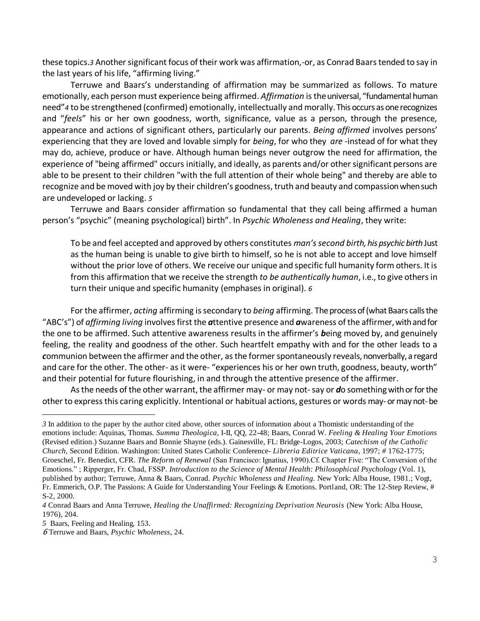these topics.*3* Another significant focus of their work was affirmation,-or, as Conrad Baars tended to say in the last years of his life, "affirming living."

Terruwe and Baars's understanding of affirmation may be summarized as follows. To mature emotionally, each person must experience being affirmed. *Affirmation* is the universal, "fundamental human need"*4* to be strengthened (confirmed) emotionally, intellectually and morally. This occurs as one recognizes and "*feels*" his or her own goodness, worth, significance, value as a person, through the presence, appearance and actions of significant others, particularly our parents. *Being affirmed* involves persons' experiencing that they are loved and lovable simply for *being*, for who they *are* -instead of for what they may do, achieve, produce or have. Although human beings never outgrow the need for affirmation, the experience of "being affirmed" occurs initially, and ideally, as parents and/or other significant persons are able to be present to their children "with the full attention of their whole being" and thereby are able to recognize and be moved with joy by their children's goodness, truth and beauty and compassion when such are undeveloped or lacking. *5*

Terruwe and Baars consider affirmation so fundamental that they call being affirmed a human person's "psychic" (meaning psychological) birth". In *Psychic Wholeness and Healing*, they write:

To be and feel accepted and approved by others constitutes *man's second birth, his psychic birth*Just as the human being is unable to give birth to himself, so he is not able to accept and love himself without the prior love of others. We receive our unique and specific full humanity form others. It is from this affirmation that we receive the strength *to be authentically human*, i.e., to give others in turn their unique and specific humanity (emphases in original). *6*

For the affirmer, *acting* affirming is secondary to *being* affirming. The process of (what Baars calls the "ABC's") of *affirming living* involves first the *a*ttentive presence and *a*wareness of the affirmer, with and for the one to be affirmed. Such attentive awareness results in the affirmer's *b*eing moved by, and genuinely feeling, the reality and goodness of the other. Such heartfelt empathy with and for the other leads to a *c*ommunion between the affirmer and the other, as the former spontaneously reveals, nonverbally, a regard and care for the other. The other- as it were- "experiences his or her own truth, goodness, beauty, worth" and their potential for future flourishing, in and through the attentive presence of the affirmer.

As the needs of the other warrant, the affirmer may- or may not-say or *d*o something with or for the other to express this caring explicitly. Intentional or habitual actions, gestures or words may-or may not-be

*<sup>3</sup>* In addition to the paper by the author cited above, other sources of information about a Thomistic understanding of the emotions include: Aquinas, Thomas. *Summa Theologica*, I-II, QQ, 22-48; Baars, Conrad W. *Feeling & Healing Your Emotions* (Revised edition.) Suzanne Baars and Bonnie Shayne (eds.). Gainesville, FL: Bridge-Logos, 2003; *Catechism of the Catholic Church,* Second Edition. Washington: United States Catholic Conference- *Libreria Editrice Vaticana*, 1997; *#* 1762-1775; Groeschel, Fr. Benedict, CFR. *The Reform of Renewal* (San Francisco: Ignatius, 1990).Cf. Chapter Five: "The Conversion of the Emotions." ; Ripperger, Fr. Chad, FSSP. *Introduction to the Science of Mental Health: Philosophical Psychology* (Vol. 1), published by author; Terruwe, Anna & Baars, Conrad. *Psychic Wholeness and Healing.* New York: Alba House, 1981.; Vogt, Fr. Emmerich, O.P. The Passions: A Guide for Understanding Your Feelings & Emotions. Portland, OR: The 12-Step Review, # S-2, 2000.

*<sup>4</sup>* Conrad Baars and Anna Terruwe, *Healing the Unaffirmed: Recognizing Deprivation Neurosis* (New York: Alba House, 1976), 204.

*<sup>5</sup>* Baars, Feeling and Healing, 153.

<sup>6</sup> Terruwe and Baars, *Psychic Wholeness*, 24.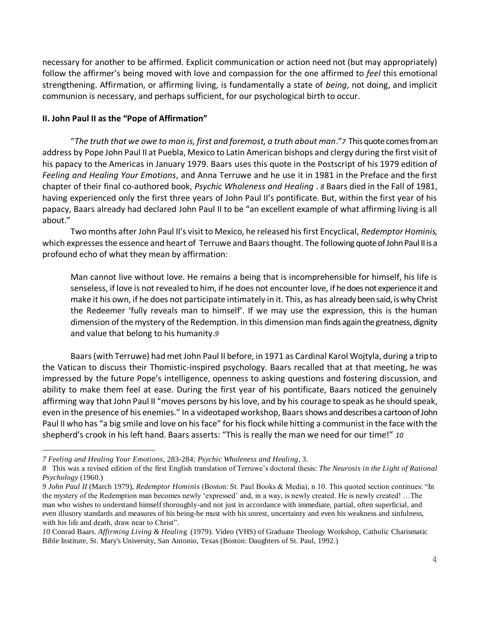necessary for another to be affirmed. Explicit communication or action need not (but may appropriately) follow the affirmer's being moved with love and compassion for the one affirmed to *feel* this emotional strengthening. Affirmation, or affirming living, is fundamentally a state of *being*, not doing, and implicit communion is necessary, and perhaps sufficient, for our psychological birth to occur.

# **II. John Paul II as the "Pope of Affirmation"**

"*The truth that we owe to man is, first and foremost, a truth about man*."*7* This quote comes from an address by Pope John Paul II at Puebla, Mexico to Latin American bishops and clergy during the first visit of his papacy to the Americas in January 1979. Baars uses this quote in the Postscript of his 1979 edition of *Feeling and Healing Your Emotions*, and Anna Terruwe and he use it in 1981 in the Preface and the first chapter of their final co-authored book, *Psychic Wholeness and Healing* . *8* Baars died in the Fall of 1981, having experienced only the first three years of John Paul II's pontificate. But, within the first year of his papacy, Baars already had declared John Paul II to be "an excellent example of what affirming living is all about."

Two months after John Paul II's visit to Mexico, he released his first Encyclical, *Redemptor Hominis,* which expresses the essence and heart of Terruwe and Baars thought. The following quote of John Paul II is a profound echo of what they mean by affirmation:

Man cannot live without love. He remains a being that is incomprehensible for himself, his life is senseless, if love is not revealed to him, if he does not encounter love, if he does not experience it and make it his own, if he does not participate intimately in it. This, as has already been said, is why Christ the Redeemer 'fully reveals man to himself'. If we may use the expression, this is the human dimension of the mystery of the Redemption. In this dimension man finds again the greatness, dignity and value that belong to his humanity.*9*

Baars (with Terruwe) had met John Paul II before, in 1971 as Cardinal Karol Wojtyla, during a trip to the Vatican to discuss their Thomistic-inspired psychology. Baars recalled that at that meeting, he was impressed by the future Pope's intelligence, openness to asking questions and fostering discussion, and ability to make them feel at ease. During the first year of his pontificate, Baars noticed the genuinely affirming way that John Paul II "moves persons by his love, and by his courage to speak as he should speak, even in the presence of his enemies." In a videotaped workshop, Baars shows and describes a cartoon of John Paul II who has "a big smile and love on his face" for his flock while hitting a communist in the face with the shepherd's crook in his left hand. Baars asserts: "This is really the man we need for our time!" *10*

*<sup>7</sup> Feeling and Healing Your Emotions*, 283-284; *Psychic Wholeness and Healing*, 3.

*<sup>8</sup>* This was a revised edition of the first English translation of Terruwe"s doctoral thesis: *The Neurosis in the Light of Rational Psychology* (1960.)

*<sup>9</sup> John Paul II* (March 1979), *Redemptor Hominis* (Boston: St. Paul Books & Media), n 10. This quoted section continues: "In the mystery of the Redemption man becomes newly "expressed" and, in a way, is newly created. He is newly created! …The man who wishes to understand himself thoroughly-and not just in accordance with immediate, partial, often superficial, and even illusory standards and measures of his being-he must with his unrest, uncertainty and even his weakness and sinfulness, with his life and death, draw near to Christ".

*<sup>10</sup>* Conrad Baars. *Affirming Living & Healin*g (1979). Video (VHS) of Graduate Theology Workshop, Catholic Charismatic Bible Institute, St. Mary's University, San Antonio, Texas (Boston: Daughters of St. Paul, 1992.)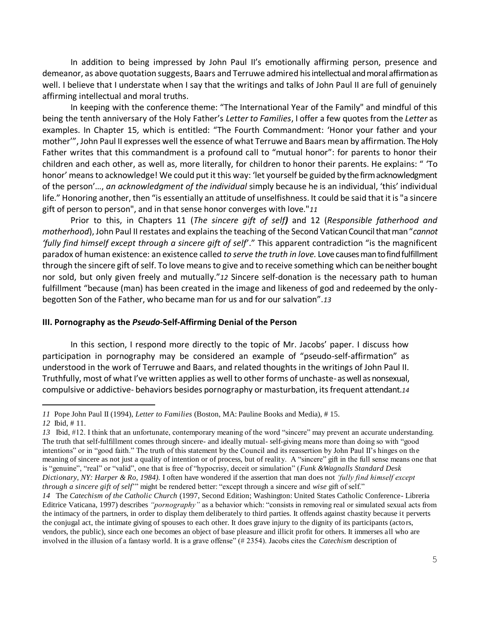In addition to being impressed by John Paul II's emotionally affirming person, presence and demeanor, as above quotation suggests, Baars and Terruwe admired his intellectual and moral affirmation as well. I believe that I understate when I say that the writings and talks of John Paul II are full of genuinely affirming intellectual and moral truths.

In keeping with the conference theme: "The International Year of the Family" and mindful of this being the tenth anniversary of the Holy Father's *Letter to Families*, I offer a few quotes from the *Letter* as examples. In Chapter 15*,* which is entitled: "The Fourth Commandment: 'Honor your father and your mother'", John Paul II expresses well the essence of what Terruwe and Baars mean by affirmation. The Holy Father writes that this commandment is a profound call to "mutual honor": for parents to honor their children and each other, as well as, more literally, for children to honor their parents. He explains: " 'To honor' means to acknowledge! We could put it this way: 'let yourself be guided by the firm acknowledgment of the person'…, *an acknowledgment of the individual* simply because he is an individual, 'this' individual life." Honoring another, then "is essentially an attitude of unselfishness. It could be said that it is "a sincere gift of person to person", and in that sense honor converges with love."*11*

Prior to this, in Chapters 11 (*The sincere gift of self)* and 12 (*Responsible fatherhood and motherhood*), John Paul II restates and explains the teaching of the Second Vatican Council that man "*cannot 'fully find himself except through a sincere gift of self*'." This apparent contradiction "is the magnificent paradox of human existence: an existence called *to serve the truth in love.* Love causes man to find fulfillment through the sincere gift of self. To love means to give and to receive something which can be neither bought nor sold, but only given freely and mutually."*12* Sincere self-donation is the necessary path to human fulfillment "because (man) has been created in the image and likeness of god and redeemed by the onlybegotten Son of the Father, who became man for us and for our salvation".*13*

#### **III. Pornography as the** *Pseudo***-Self-Affirming Denial of the Person**

In this section, I respond more directly to the topic of Mr. Jacobs' paper. I discuss how participation in pornography may be considered an example of "pseudo-self-affirmation" as understood in the work of Terruwe and Baars, and related thoughts in the writings of John Paul II. Truthfully, most of what I've written applies as well to other forms of unchaste-as well as nonsexual, compulsive or addictive- behaviors besides pornography or masturbation, its frequent attendant.*14*

*<sup>11</sup>* Pope John Paul II (1994), *Letter to Families* (Boston, MA: Pauline Books and Media), # 15.

*<sup>12</sup>* Ibid, # 11.

*<sup>13</sup>* Ibid, #12. I think that an unfortunate, contemporary meaning of the word "sincere" may prevent an accurate understanding. The truth that self-fulfillment comes through sincere- and ideally mutual- self-giving means more than doing so with "good intentions" or in "good faith." The truth of this statement by the Council and its reassertion by John Paul II"s hinges on the meaning of sincere as not just a quality of intention or of process, but of reality. A "sincere" gift in the full sense means one that is "genuine", "real" or "valid", one that is free of "hypocrisy, deceit or simulation" (*Funk &Wagnalls Standard Desk Dictionary, NY: Harper & Ro, 1984).* I often have wondered if the assertion that man does not *"fully find himself except through a sincere gift of self*"" might be rendered better: "except through a sincere and *wise* gift of self."

*<sup>14</sup>* The *Catechism of the Catholic Church* (1997, Second Edition; Washington: United States Catholic Conference- Libreria Editrice Vaticana, 1997) describes *"pornography"* as a behavior which: "consists in removing real or simulated sexual acts from the intimacy of the partners, in order to display them deliberately to third parties. It offends against chastity because it perverts the conjugal act, the intimate giving of spouses to each other. It does grave injury to the dignity of its participants (actors, vendors, the public), since each one becomes an object of base pleasure and illicit profit for others. It immerses all who are involved in the illusion of a fantasy world. It is a grave offense" (# 2354). Jacobs cites the *Catechism* description of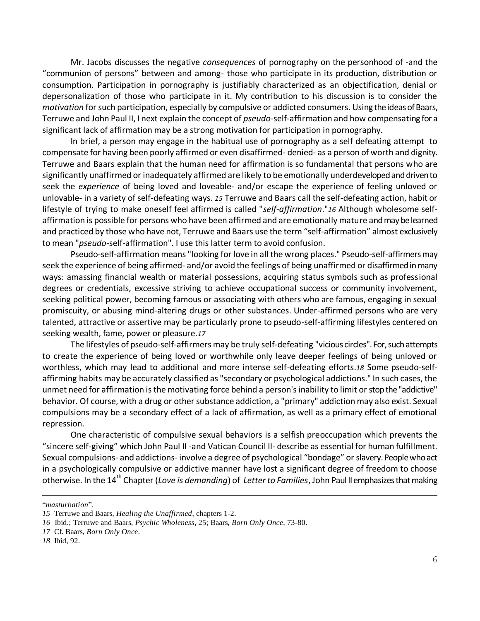Mr. Jacobs discusses the negative *consequences* of pornography on the personhood of -and the "communion of persons" between and among- those who participate in its production, distribution or consumption. Participation in pornography is justifiably characterized as an objectification, denial or depersonalization of those who participate in it. My contribution to his discussion is to consider the *motivation* for such participation, especially by compulsive or addicted consumers. Using the ideas of Baars, Terruwe and John Paul II, I next explain the concept of *pseudo*-self-affirmation and how compensating for a significant lack of affirmation may be a strong motivation for participation in pornography.

In brief, a person may engage in the habitual use of pornography as a self defeating attempt to compensate for having been poorly affirmed or even disaffirmed- denied- as a person of worth and dignity. Terruwe and Baars explain that the human need for affirmation is so fundamental that persons who are significantly unaffirmed or inadequately affirmed are likely to be emotionally underdeveloped and driven to seek the *experience* of being loved and loveable- and/or escape the experience of feeling unloved or unlovable- in a variety of self-defeating ways. *15* Terruwe and Baars call the self-defeating action, habit or lifestyle of trying to make oneself feel affirmed is called "*self-affirmation*."*16* Although wholesome selfaffirmation is possible for persons who have been affirmed and are emotionally mature and may be learned and practiced by those who have not, Terruwe and Baars use the term "self-affirmation" almost exclusively to mean "*pseudo*-self-affirmation". I use this latter term to avoid confusion.

Pseudo-self-affirmation means "looking for love in all the wrong places." Pseudo-self-affirmers may seek the experience of being affirmed- and/or avoid the feelings of being unaffirmed or disaffirmed in many ways: amassing financial wealth or material possessions, acquiring status symbols such as professional degrees or credentials, excessive striving to achieve occupational success or community involvement, seeking political power, becoming famous or associating with others who are famous, engaging in sexual promiscuity, or abusing mind-altering drugs or other substances. Under-affirmed persons who are very talented, attractive or assertive may be particularly prone to pseudo-self-affirming lifestyles centered on seeking wealth, fame, power or pleasure.*17*

The lifestyles of pseudo-self-affirmers may be truly self-defeating "vicious circles". For, such attempts to create the experience of being loved or worthwhile only leave deeper feelings of being unloved or worthless, which may lead to additional and more intense self-defeating efforts.*18* Some pseudo-selfaffirming habits may be accurately classified as "secondary or psychological addictions." In such cases, the unmet need for affirmation is the motivating force behind a person's inability to limit or stop the "addictive" behavior. Of course, with a drug or other substance addiction, a "primary" addiction may also exist. Sexual compulsions may be a secondary effect of a lack of affirmation, as well as a primary effect of emotional repression.

One characteristic of compulsive sexual behaviors is a selfish preoccupation which prevents the "sincere self-giving" which John Paul II -and Vatican Council II- describe as essential for human fulfillment. Sexual compulsions- and addictions- involve a degree of psychological "bondage" or slavery. People who act in a psychologically compulsive or addictive manner have lost a significant degree of freedom to choose otherwise. In the 14<sup>th</sup> Chapter (*Love is demanding*) of *Letter to Families*, John Paul II emphasizes that making

<sup>&</sup>quot;*masturbation*".

*<sup>15</sup>* Terruwe and Baars, *Healing the Unaffirmed*, chapters 1-2.

*<sup>16</sup>* Ibid.; Terruwe and Baars, *Psychic Wholeness*, 25; Baars, *Born Only Once*, 73-80.

*<sup>17</sup>* Cf. Baars, *Born Only Once*.

*<sup>18</sup>* Ibid, 92.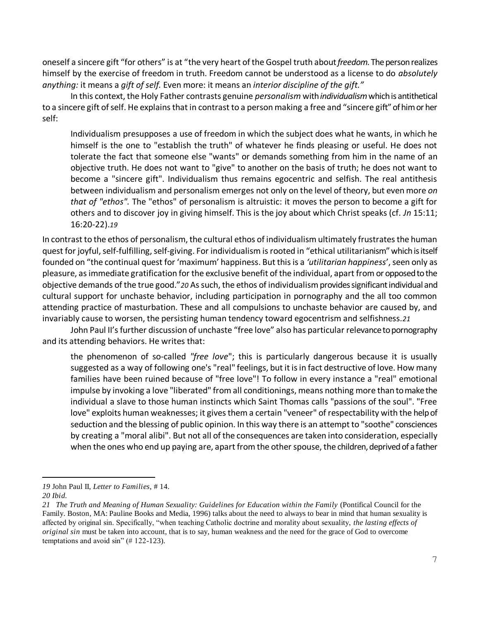oneself a sincere gift "for others" is at "the very heart of the Gospel truth about*freedom.* The person realizes himself by the exercise of freedom in truth. Freedom cannot be understood as a license to do *absolutely anything:* it means a *gift of self.* Even more: it means an *interior discipline of the gift."*

In this context, the Holy Father contrasts genuine *personalism* with *individualism*which is antithetical to a sincere gift of self. He explains that in contrast to a person making a free and "sincere gift" of him or her self:

Individualism presupposes a use of freedom in which the subject does what he wants, in which he himself is the one to "establish the truth" of whatever he finds pleasing or useful. He does not tolerate the fact that someone else "wants" or demands something from him in the name of an objective truth. He does not want to "give" to another on the basis of truth; he does not want to become a "sincere gift". Individualism thus remains egocentric and selfish. The real antithesis between individualism and personalism emerges not only on the level of theory, but even more *on that of "ethos".* The "ethos" of personalism is altruistic: it moves the person to become a gift for others and to discover joy in giving himself. This is the joy about which Christ speaks (cf. *Jn* 15:11; 16:20-22).*19*

In contrast to the ethos of personalism, the cultural ethos of individualism ultimately frustrates the human quest for joyful, self-fulfilling, self-giving. For individualism is rooted in "ethical utilitarianism" which is itself founded on "the continual quest for 'maximum' happiness. But this is a *'utilitarian happiness*', seen only as pleasure, as immediate gratification for the exclusive benefit of the individual, apart from or opposed to the objective demands of the true good."*20* As such, the ethos of individualism provides significant individual and cultural support for unchaste behavior, including participation in pornography and the all too common attending practice of masturbation. These and all compulsions to unchaste behavior are caused by, and invariably cause to worsen, the persisting human tendency toward egocentrism and selfishness.*21*

John Paul II's further discussion of unchaste "free love" also has particular relevance to pornography and its attending behaviors. He writes that:

the phenomenon of so-called *"free love*"; this is particularly dangerous because it is usually suggested as a way of following one's "real" feelings, but it is in fact destructive of love. How many families have been ruined because of "free love"! To follow in every instance a "real" emotional impulse by invoking a love "liberated" from all conditionings, means nothing more than to make the individual a slave to those human instincts which Saint Thomas calls "passions of the soul". "Free love" exploits human weaknesses; it gives them a certain "veneer" of respectability with the help of seduction and the blessing of public opinion. In this way there is an attempt to "soothe" consciences by creating a "moral alibi". But not all of the consequences are taken into consideration, especially when the ones who end up paying are, apart from the other spouse, the children, deprived of a father

*<sup>19</sup>* John Paul II, *Letter to Families,* # 14.

*<sup>20</sup> Ibid.* 

*<sup>21</sup> The Truth and Meaning of Human Sexuality: Guidelines for Education within the Family* (Pontifical Council for the Family. Boston, MA: Pauline Books and Media, 1996) talks about the need to always to bear in mind that human sexuality is affected by original sin. Specifically, "when teaching Catholic doctrine and morality about sexuality, *the lasting effects of original sin* must be taken into account, that is to say, human weakness and the need for the grace of God to overcome temptations and avoid sin" (# 122-123).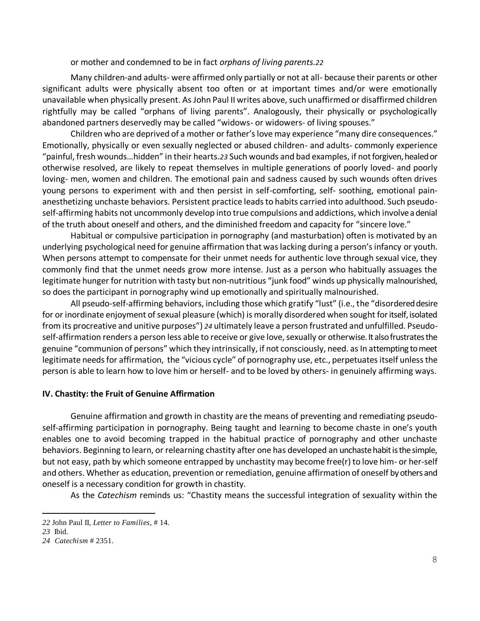or mother and condemned to be in fact *orphans of living parents.22*

Many children-and adults- were affirmed only partially or not at all- because their parents or other significant adults were physically absent too often or at important times and/or were emotionally unavailable when physically present. As John Paul II writes above, such unaffirmed or disaffirmed children rightfully may be called "orphans of living parents". Analogously, their physically or psychologically abandoned partners deservedly may be called "widows- or widowers- of living spouses."

Children who are deprived of a mother or father's love may experience "many dire consequences." Emotionally, physically or even sexually neglected or abused children- and adults- commonly experience "painful, fresh wounds…hidden" in their hearts.*23* Such wounds and bad examples, if not forgiven, healed or otherwise resolved, are likely to repeat themselves in multiple generations of poorly loved- and poorly loving- men, women and children. The emotional pain and sadness caused by such wounds often drives young persons to experiment with and then persist in self-comforting, self- soothing, emotional painanesthetizing unchaste behaviors. Persistent practice leads to habits carried into adulthood. Such pseudoself-affirming habits not uncommonly develop into true compulsions and addictions, which involve a denial of the truth about oneself and others, and the diminished freedom and capacity for "sincere love."

Habitual or compulsive participation in pornography (and masturbation) often is motivated by an underlying psychological need for genuine affirmation that was lacking during a person's infancy or youth. When persons attempt to compensate for their unmet needs for authentic love through sexual vice, they commonly find that the unmet needs grow more intense. Just as a person who habitually assuages the legitimate hunger for nutrition with tasty but non-nutritious "junk food" winds up physically malnourished, so does the participant in pornography wind up emotionally and spiritually malnourished.

All pseudo-self-affirming behaviors, including those which gratify "lust" (i.e., the "disordered desire for or inordinate enjoyment of sexual pleasure (which) is morally disordered when sought for itself, isolated from its procreative and unitive purposes") *24* ultimately leave a person frustrated and unfulfilled. Pseudoself-affirmation renders a person less able to receive or give love, sexually or otherwise. It also frustrates the genuine "communion of persons" which they intrinsically, if not consciously, need. as In attempting to meet legitimate needs for affirmation, the "vicious cycle" of pornography use, etc., perpetuates itself unless the person is able to learn how to love him or herself- and to be loved by others- in genuinely affirming ways.

### **IV. Chastity: the Fruit of Genuine Affirmation**

Genuine affirmation and growth in chastity are the means of preventing and remediating pseudoself-affirming participation in pornography. Being taught and learning to become chaste in one's youth enables one to avoid becoming trapped in the habitual practice of pornography and other unchaste behaviors. Beginning to learn, or relearning chastity after one has developed an unchaste habit is the simple, but not easy, path by which someone entrapped by unchastity may become free(r) to love him- or her-self and others. Whether as education, prevention or remediation, genuine affirmation of oneself by others and oneself is a necessary condition for growth in chastity.

As the *Catechism* reminds us: "Chastity means the successful integration of sexuality within the

*<sup>22</sup>* John Paul II, *Letter to Families*, # 14.

*<sup>23</sup>* Ibid.

*<sup>24</sup> Catechism* # 2351.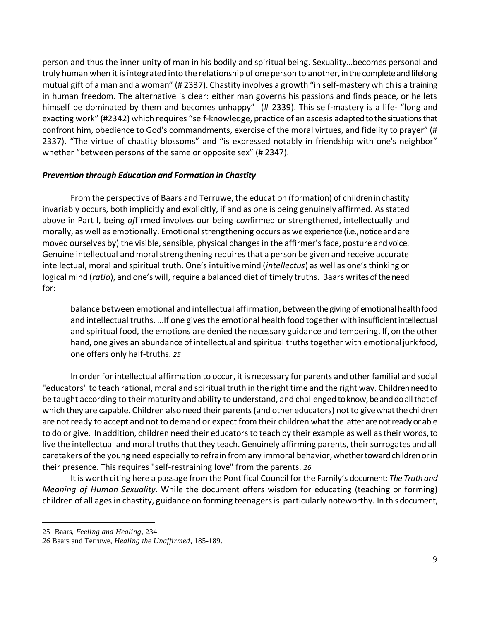person and thus the inner unity of man in his bodily and spiritual being. Sexuality…becomes personal and truly human when it is integrated into the relationship of one person to another, in the complete and lifelong mutual gift of a man and a woman" (# 2337). Chastity involves a growth "in self-mastery which is a training in human freedom. The alternative is clear: either man governs his passions and finds peace, or he lets himself be dominated by them and becomes unhappy" (# 2339). This self-mastery is a life- "long and exacting work" (#2342) which requires "self-knowledge, practice of an ascesis adapted to the situations that confront him, obedience to God's commandments, exercise of the moral virtues, and fidelity to prayer" (# 2337). "The virtue of chastity blossoms" and "is expressed notably in friendship with one's neighbor" whether "between persons of the same or opposite sex" (# 2347).

## *Prevention through Education and Formation in Chastity*

From the perspective of Baars and Terruwe, the education (formation) of children in chastity invariably occurs, both implicitly and explicitly, if and as one is being genuinely affirmed. As stated above in Part I, being *af*firmed involves our being *con*firmed or strengthened, intellectually and morally, as well as emotionally. Emotional strengthening occurs as we experience (i.e., notice and are moved ourselves by) the visible, sensible, physical changes in the affirmer's face, posture and voice. Genuine intellectual and moral strengthening requires that a person be given and receive accurate intellectual, moral and spiritual truth. One's intuitive mind (*intellectus*) as well as one's thinking or logical mind (*ratio*), and one's will, require a balanced diet of timely truths. Baars writes of the need for:

balance between emotional and intellectual affirmation, between the giving of emotional health food and intellectual truths. ...If one gives the emotional health food together with insufficient intellectual and spiritual food, the emotions are denied the necessary guidance and tempering. If, on the other hand, one gives an abundance of intellectual and spiritual truths together with emotional junk food, one offers only half-truths. *25*

In order for intellectual affirmation to occur, it is necessary for parents and other familial and social "educators" to teach rational, moral and spiritual truth in the right time and the right way. Children need to be taught according to their maturity and ability to understand, and challenged to know, be and do all that of which they are capable. Children also need their parents (and other educators) not to give what the children are not ready to accept and not to demand or expect from their children what the latter are not ready or able to do or give. In addition, children need their educators to teach by their example as well as their words, to live the intellectual and moral truths that they teach. Genuinely affirming parents, their surrogates and all caretakers of the young need especially to refrain from any immoral behavior, whether toward children or in their presence. This requires "self-restraining love" from the parents. *26*

It is worth citing here a passage from the Pontifical Council for the Family's document: *The Truth and Meaning of Human Sexuality.* While the document offers wisdom for educating (teaching or forming) children of all ages in chastity, guidance on forming teenagers is particularly noteworthy. In this document,

<sup>25</sup> Baars, *Feeling and Healing*, 234.

*<sup>26</sup>* Baars and Terruwe, *Healing the Unaffirmed*, 185-189.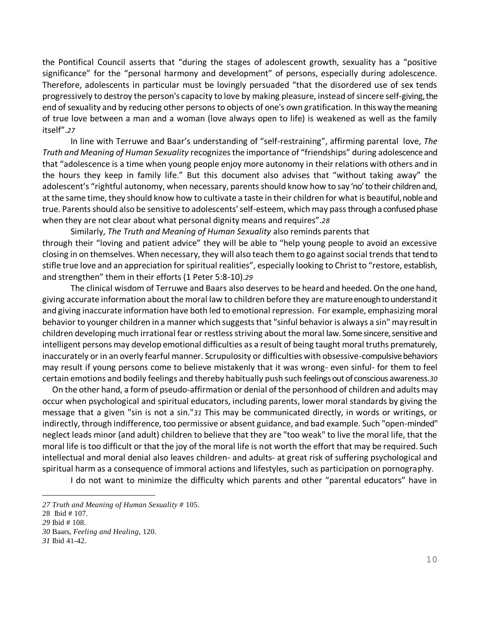the Pontifical Council asserts that "during the stages of adolescent growth, sexuality has a "positive significance" for the "personal harmony and development" of persons, especially during adolescence. Therefore, adolescents in particular must be lovingly persuaded "that the disordered use of sex tends progressively to destroy the person's capacity to love by making pleasure, instead of sincere self-giving, the end of sexuality and by reducing other persons to objects of one's own gratification. In this way the meaning of true love between a man and a woman (love always open to life) is weakened as well as the family itself".*27*

In line with Terruwe and Baar's understanding of "self-restraining", affirming parental love, *The Truth and Meaning of Human Sexuality* recognizes the importance of "friendships" during adolescence and that "adolescence is a time when young people enjoy more autonomy in their relations with others and in the hours they keep in family life." But this document also advises that "without taking away" the adolescent's "rightful autonomy, when necessary, parents should know how to say 'no' to their children and, at the same time, they should know how to cultivate a taste in their children for what is beautiful, noble and true. Parents should also be sensitive to adolescents' self-esteem, which may pass through a confused phase when they are not clear about what personal dignity means and requires".*28*

Similarly, *The Truth and Meaning of Human Sexuality* also reminds parents that through their "loving and patient advice" they will be able to "help young people to avoid an excessive closing in on themselves. When necessary, they will also teach them to go against social trends that tend to stifle true love and an appreciation for spiritual realities", especially looking to Christ to "restore, establish, and strengthen" them in their efforts (1 Peter 5:8-10).*29*

The clinical wisdom of Terruwe and Baars also deserves to be heard and heeded. On the one hand, giving accurate information about the moral law to children before they are mature enough to understand it and giving inaccurate information have both led to emotional repression. For example, emphasizing moral behavior to younger children in a manner which suggests that "sinful behavior is always a sin" may result in children developing much irrational fear or restless striving about the moral law. Some sincere, sensitive and intelligent persons may develop emotional difficulties as a result of being taught moral truths prematurely, inaccurately or in an overly fearful manner. Scrupulosity or difficulties with obsessive-compulsive behaviors may result if young persons come to believe mistakenly that it was wrong- even sinful- for them to feel certain emotions and bodily feelings and thereby habitually push such feelings out of conscious awareness.*30*

 On the other hand, a form of pseudo-affirmation or denial of the personhood of children and adults may occur when psychological and spiritual educators, including parents, lower moral standards by giving the message that a given "sin is not a sin."*31* This may be communicated directly, in words or writings, or indirectly, through indifference, too permissive or absent guidance, and bad example. Such "open-minded" neglect leads minor (and adult) children to believe that they are "too weak" to live the moral life, that the moral life is too difficult or that the joy of the moral life is not worth the effort that may be required. Such intellectual and moral denial also leaves children- and adults- at great risk of suffering psychological and spiritual harm as a consequence of immoral actions and lifestyles, such as participation on pornography.

I do not want to minimize the difficulty which parents and other "parental educators" have in

*<sup>27</sup> Truth and Meaning of Human Sexuality #* 105.

<sup>28</sup> Ibid # 107.

*<sup>29</sup>* Ibid # 108.

*<sup>30</sup>* Baars, *Feeling and Healing*, 120.

*<sup>31</sup>* Ibid 41-42.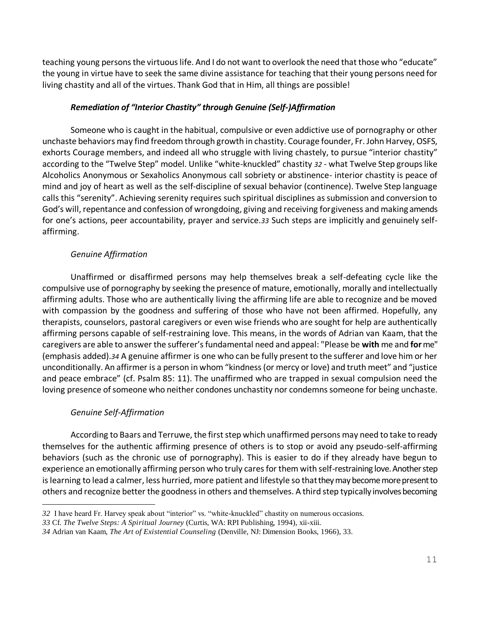teaching young persons the virtuous life. And I do not want to overlook the need that those who "educate" the young in virtue have to seek the same divine assistance for teaching that their young persons need for living chastity and all of the virtues. Thank God that in Him, all things are possible!

# *Remediation of "Interior Chastity" through Genuine (Self-)Affirmation*

Someone who is caught in the habitual, compulsive or even addictive use of pornography or other unchaste behaviors may find freedom through growth in chastity. Courage founder, Fr. John Harvey, OSFS, exhorts Courage members, and indeed all who struggle with living chastely, to pursue "interior chastity" according to the "Twelve Step" model. Unlike "white-knuckled" chastity *32* - what Twelve Step groups like Alcoholics Anonymous or Sexaholics Anonymous call sobriety or abstinence- interior chastity is peace of mind and joy of heart as well as the self-discipline of sexual behavior (continence). Twelve Step language calls this "serenity". Achieving serenity requires such spiritual disciplines as submission and conversion to God's will, repentance and confession of wrongdoing, giving and receiving forgiveness and making amends for one's actions, peer accountability, prayer and service.*33* Such steps are implicitly and genuinely selfaffirming.

# *Genuine Affirmation*

Unaffirmed or disaffirmed persons may help themselves break a self-defeating cycle like the compulsive use of pornography by seeking the presence of mature, emotionally, morally and intellectually affirming adults. Those who are authentically living the affirming life are able to recognize and be moved with compassion by the goodness and suffering of those who have not been affirmed. Hopefully, any therapists, counselors, pastoral caregivers or even wise friends who are sought for help are authentically affirming persons capable of self-restraining love. This means, in the words of Adrian van Kaam, that the caregivers are able to answer the sufferer's fundamental need and appeal: "Please be **with** me and **for** me" (emphasis added).*34* A genuine affirmer is one who can be fully present to the sufferer and love him or her unconditionally. An affirmer is a person in whom "kindness (or mercy or love) and truth meet" and "justice and peace embrace" (cf. Psalm 85: 11). The unaffirmed who are trapped in sexual compulsion need the loving presence of someone who neither condones unchastity nor condemns someone for being unchaste.

# *Genuine Self-Affirmation*

According to Baars and Terruwe, the first step which unaffirmed persons may need to take to ready themselves for the authentic affirming presence of others is to stop or avoid any pseudo-self-affirming behaviors (such as the chronic use of pornography). This is easier to do if they already have begun to experience an emotionally affirming person who truly cares for them with self-restraining love. Another step is learning to lead a calmer, less hurried, more patient and lifestyle so that they may become more present to others and recognize better the goodness in others and themselves. A third step typically involves becoming

*<sup>32</sup>* I have heard Fr. Harvey speak about "interior" vs. "white-knuckled" chastity on numerous occasions.

*<sup>33</sup>* Cf. *The Twelve Steps: A Spiritual Journey* (Curtis, WA: RPI Publishing, 1994), xii-xiii.

*<sup>34</sup>* Adrian van Kaam, *The Art of Existential Counseling* (Denville, NJ: Dimension Books, 1966), 33.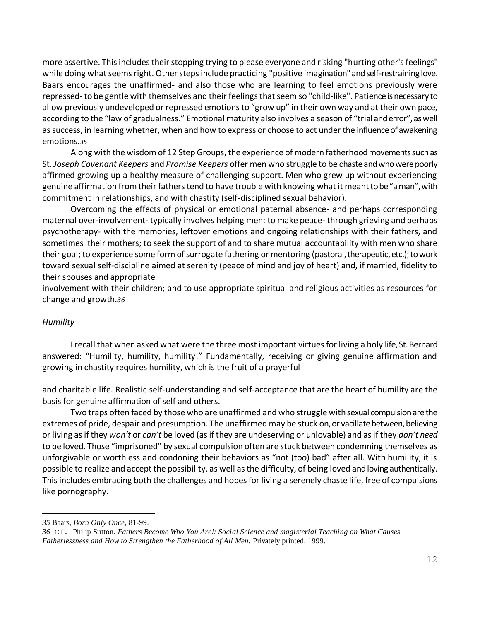more assertive. This includes their stopping trying to please everyone and risking "hurting other's feelings" while doing what seems right. Other steps include practicing "positive imagination" and self-restraining love. Baars encourages the unaffirmed- and also those who are learning to feel emotions previously were repressed- to be gentle with themselves and their feelings that seem so "child-like". Patience is necessary to allow previously undeveloped or repressed emotions to "grow up" in their own way and at their own pace, according to the "law of gradualness." Emotional maturity also involves a season of "trial and error", as well as success, in learning whether, when and how to express or choose to act under the influence of awakening emotions.*35*

Along with the wisdom of 12 Step Groups, the experience of modern fatherhood movements such as St*. Joseph Covenant Keepers* and *Promise Keepers* offer men who struggle to be chaste and who were poorly affirmed growing up a healthy measure of challenging support. Men who grew up without experiencing genuine affirmation from their fathers tend to have trouble with knowing what it meant to be "a man", with commitment in relationships, and with chastity (self-disciplined sexual behavior).

Overcoming the effects of physical or emotional paternal absence- and perhaps corresponding maternal over-involvement- typically involves helping men: to make peace- through grieving and perhaps psychotherapy- with the memories, leftover emotions and ongoing relationships with their fathers, and sometimes their mothers; to seek the support of and to share mutual accountability with men who share their goal; to experience some form of surrogate fathering or mentoring (pastoral, therapeutic, etc.); to work toward sexual self-discipline aimed at serenity (peace of mind and joy of heart) and, if married, fidelity to their spouses and appropriate

involvement with their children; and to use appropriate spiritual and religious activities as resources for change and growth.*36*

## *Humility*

i<br>L

I recall that when asked what were the three most important virtues for living a holy life, St. Bernard answered: "Humility, humility, humility!" Fundamentally, receiving or giving genuine affirmation and growing in chastity requires humility, which is the fruit of a prayerful

and charitable life. Realistic self-understanding and self-acceptance that are the heart of humility are the basis for genuine affirmation of self and others.

Two traps often faced by those who are unaffirmed and who struggle with sexual compulsion are the extremes of pride, despair and presumption. The unaffirmed may be stuck on, or vacillate between, believing or living as if they *won't* or *can't* be loved (as if they are undeserving or unlovable) and as if they *don't need* to be loved. Those "imprisoned" by sexual compulsion often are stuck between condemning themselves as unforgivable or worthless and condoning their behaviors as "not (too) bad" after all. With humility, it is possible to realize and accept the possibility, as well as the difficulty, of being loved and loving authentically. This includes embracing both the challenges and hopes for living a serenely chaste life, free of compulsions like pornography.

*<sup>35</sup>* Baars, *Born Only Once*, 81-99.

*<sup>36</sup>* Cf. Philip Sutton. *Fathers Become Who You Are!: Social Science and magisterial Teaching on What Causes*  Fatherlessness and How to Strengthen the Fatherhood of All Men. Privately printed, 1999.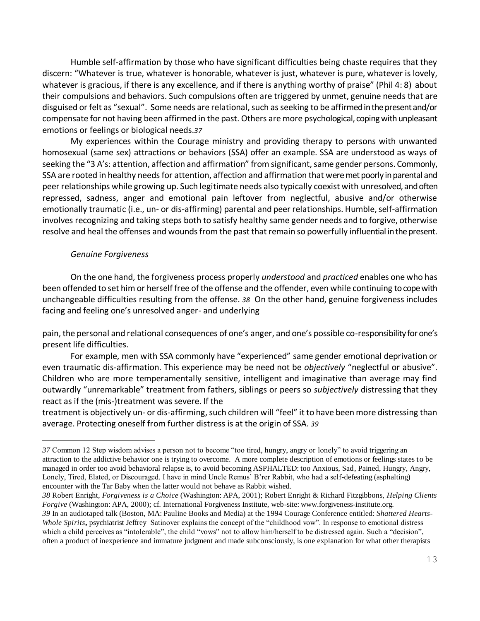Humble self-affirmation by those who have significant difficulties being chaste requires that they discern: "Whatever is true, whatever is honorable, whatever is just, whatever is pure, whatever is lovely, whatever is gracious, if there is any excellence, and if there is anything worthy of praise" (Phil 4: 8) about their compulsions and behaviors. Such compulsions often are triggered by unmet, genuine needs that are disguised or felt as "sexual". Some needs are relational, such as seeking to be affirmed in the present and/or compensate for not having been affirmed in the past. Others are more psychological, coping with unpleasant emotions or feelings or biological needs.*37*

My experiences within the Courage ministry and providing therapy to persons with unwanted homosexual (same sex) attractions or behaviors (SSA) offer an example. SSA are understood as ways of seeking the "3 A's: attention, affection and affirmation" from significant, same gender persons. Commonly, SSA are rooted in healthy needs for attention, affection and affirmation that were met poorly in parental and peer relationships while growing up. Such legitimate needs also typically coexist with unresolved, and often repressed, sadness, anger and emotional pain leftover from neglectful, abusive and/or otherwise emotionally traumatic (i.e., un- or dis-affirming) parental and peer relationships. Humble, self-affirmation involves recognizing and taking steps both to satisfy healthy same gender needs and to forgive, otherwise resolve and heal the offenses and wounds from the past that remain so powerfully influential in the present.

#### *Genuine Forgiveness*

On the one hand, the forgiveness process properly *understood* and *practiced* enables one who has been offended to set him or herself free of the offense and the offender, even while continuing to cope with unchangeable difficulties resulting from the offense. *38* On the other hand, genuine forgiveness includes facing and feeling one's unresolved anger- and underlying

pain, the personal and relational consequences of one's anger, and one's possible co-responsibility for one's present life difficulties.

For example, men with SSA commonly have "experienced" same gender emotional deprivation or even traumatic dis-affirmation. This experience may be need not be *objectively* "neglectful or abusive". Children who are more temperamentally sensitive, intelligent and imaginative than average may find outwardly "unremarkable" treatment from fathers, siblings or peers so *subjectively* distressing that they react as if the (mis-)treatment was severe. If the

treatment is objectively un- or dis-affirming, such children will "feel" it to have been more distressing than average. Protecting oneself from further distress is at the origin of SSA. *39*

*<sup>37</sup>* Common 12 Step wisdom advises a person not to become "too tired, hungry, angry or lonely" to avoid triggering an attraction to the addictive behavior one is trying to overcome. A more complete description of emotions or feelings states to be managed in order too avoid behavioral relapse is, to avoid becoming ASPHALTED: too Anxious, Sad, Pained, Hungry, Angry, Lonely, Tired, Elated, or Discouraged. I have in mind Uncle Remus' B'rer Rabbit, who had a self-defeating (asphalting) encounter with the Tar Baby when the latter would not behave as Rabbit wished.

*<sup>38</sup>* Robert Enright, *Forgiveness is a Choice* (Washington: APA, 2001); Robert Enright & Richard Fitzgibbons, *Helping Clients Forgive* (Washington: APA, 2000); cf. International Forgiveness Institute, web-site: www.forgiveness-institute.org.

*<sup>39</sup>* In an audiotaped talk (Boston, MA: Pauline Books and Media) at the 1994 Courage Conference entitled: *Shattered Hearts-Whole Spirits*, psychiatrist Jeffrey Satinover explains the concept of the "childhood vow". In response to emotional distress which a child perceives as "intolerable", the child "vows" not to allow him/herself to be distressed again. Such a "decision", often a product of inexperience and immature judgment and made subconsciously, is one explanation for what other therapists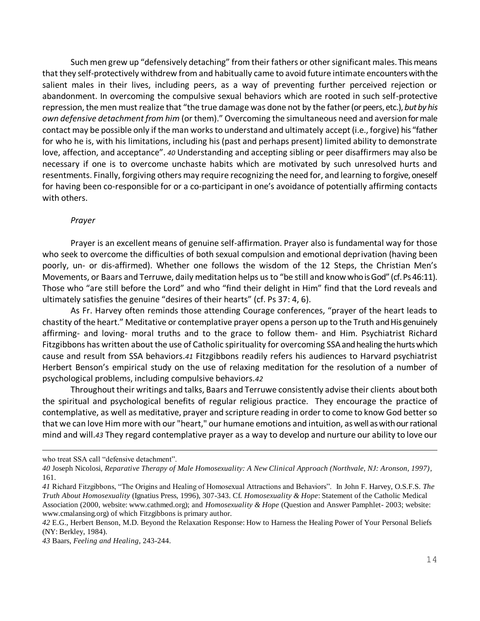Such men grew up "defensively detaching" from their fathers or other significant males. This means that they self-protectively withdrew from and habitually came to avoid future intimate encounters with the salient males in their lives, including peers, as a way of preventing further perceived rejection or abandonment. In overcoming the compulsive sexual behaviors which are rooted in such self-protective repression, the men must realize that "the true damage was done not by the father (or peers, etc.), *but by his own defensive detachment from him* (or them)." Overcoming the simultaneous need and aversion for male contact may be possible only if the man works to understand and ultimately accept (i.e., forgive) his "father for who he is, with his limitations, including his (past and perhaps present) limited ability to demonstrate love, affection, and acceptance". *40* Understanding and accepting sibling or peer disaffirmers may also be necessary if one is to overcome unchaste habits which are motivated by such unresolved hurts and resentments. Finally, forgiving others may require recognizing the need for, and learning to forgive, oneself for having been co-responsible for or a co-participant in one's avoidance of potentially affirming contacts with others.

#### *Prayer*

Prayer is an excellent means of genuine self-affirmation. Prayer also is fundamental way for those who seek to overcome the difficulties of both sexual compulsion and emotional deprivation (having been poorly, un- or dis-affirmed). Whether one follows the wisdom of the 12 Steps, the Christian Men's Movements, or Baars and Terruwe, daily meditation helps us to "be still and know who is God" (cf. Ps 46:11). Those who "are still before the Lord" and who "find their delight in Him" find that the Lord reveals and ultimately satisfies the genuine "desires of their hearts" (cf. Ps 37: 4, 6).

As Fr. Harvey often reminds those attending Courage conferences, "prayer of the heart leads to chastity of the heart." Meditative or contemplative prayer opens a person up to the Truth and His genuinely affirming- and loving- moral truths and to the grace to follow them- and Him. Psychiatrist Richard Fitzgibbons has written about the use of Catholic spirituality for overcoming SSA and healing the hurts which cause and result from SSA behaviors.*41* Fitzgibbons readily refers his audiences to Harvard psychiatrist Herbert Benson's empirical study on the use of relaxing meditation for the resolution of a number of psychological problems, including compulsive behaviors.*42*

Throughout their writings and talks, Baars and Terruwe consistently advise their clients about both the spiritual and psychological benefits of regular religious practice. They encourage the practice of contemplative, as well as meditative, prayer and scripture reading in order to come to know God better so that we can love Him more with our "heart," our humane emotions and intuition, as well as with our rational mind and will.*43* They regard contemplative prayer as a way to develop and nurture our ability to love our

who treat SSA call "defensive detachment".

*<sup>40</sup>* Joseph Nicolosi, *Reparative Therapy of Male Homosexuality: A New Clinical Approach (Northvale, NJ: Aronson, 1997)*, 161.

*<sup>41</sup>* Richard Fitzgibbons, "The Origins and Healing of Homosexual Attractions and Behaviors". In John F. Harvey, O.S.F.S. *The Truth About Homosexuality* (Ignatius Press, 1996), 307-343. Cf. *Homosexuality & Hope*: Statement of the Catholic Medical Association (2000, website: www.cathmed.org); and *Homosexuality & Hope* (Question and Answer Pamphlet- 2003; website: www.cmalansing.org) of which Fitzgibbons is primary author.

*<sup>42</sup>* E.G., Herbert Benson, M.D. Beyond the Relaxation Response: How to Harness the Healing Power of Your Personal Beliefs (NY: Berkley, 1984).

*<sup>43</sup>* Baars, *Feeling and Healing*, 243-244.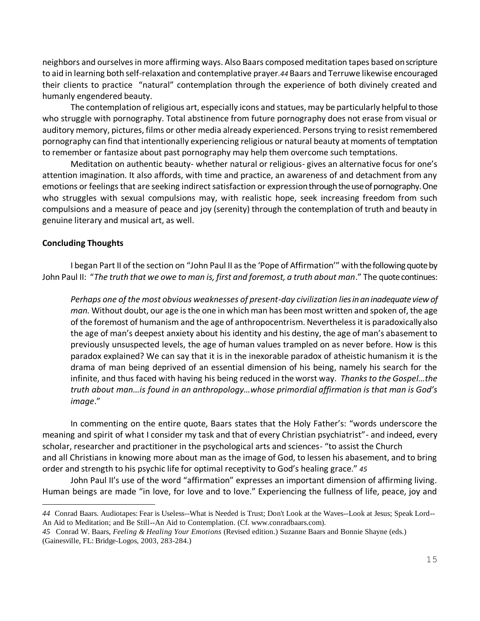neighbors and ourselves in more affirming ways. Also Baars composed meditation tapes based on scripture to aid in learning both self-relaxation and contemplative prayer*.44* Baars and Terruwe likewise encouraged their clients to practice "natural" contemplation through the experience of both divinely created and humanly engendered beauty.

The contemplation of religious art, especially icons and statues, may be particularly helpful to those who struggle with pornography. Total abstinence from future pornography does not erase from visual or auditory memory, pictures, films or other media already experienced. Persons trying to resist remembered pornography can find that intentionally experiencing religious or natural beauty at moments of temptation to remember or fantasize about past pornography may help them overcome such temptations.

Meditation on authentic beauty- whether natural or religious- gives an alternative focus for one's attention imagination. It also affords, with time and practice, an awareness of and detachment from any emotions or feelings that are seeking indirect satisfaction or expression through the use of pornography. One who struggles with sexual compulsions may, with realistic hope, seek increasing freedom from such compulsions and a measure of peace and joy (serenity) through the contemplation of truth and beauty in genuine literary and musical art, as well.

### **Concluding Thoughts**

I began Part II of the section on "John Paul II as the 'Pope of Affirmation'" with the following quote by John Paul II: "*The truth that we owe to man is, first and foremost, a truth about man*." The quote continues:

*Perhaps one of the most obvious weaknesses of present-day civilization lies in an inadequate view of man.* Without doubt, our age is the one in which man has been most written and spoken of, the age of the foremost of humanism and the age of anthropocentrism. Nevertheless it is paradoxically also the age of man's deepest anxiety about his identity and his destiny, the age of man's abasement to previously unsuspected levels, the age of human values trampled on as never before. How is this paradox explained? We can say that it is in the inexorable paradox of atheistic humanism it is the drama of man being deprived of an essential dimension of his being, namely his search for the infinite, and thus faced with having his being reduced in the worst way. *Thanks to the Gospel…the truth about man…is found in an anthropology…whose primordial affirmation is that man is God's image*."

In commenting on the entire quote, Baars states that the Holy Father's: "words underscore the meaning and spirit of what I consider my task and that of every Christian psychiatrist"- and indeed, every scholar, researcher and practitioner in the psychological arts and sciences- "to assist the Church and all Christians in knowing more about man as the image of God, to lessen his abasement, and to bring order and strength to his psychic life for optimal receptivity to God's healing grace." *45*

John Paul II's use of the word "affirmation" expresses an important dimension of affirming living. Human beings are made "in love, for love and to love." Experiencing the fullness of life, peace, joy and

*<sup>44</sup>* Conrad Baars. Audiotapes: Fear is Useless--What is Needed is Trust; Don't Look at the Waves--Look at Jesus; Speak Lord-- An Aid to Meditation; and Be Still--An Aid to Contemplation. (Cf. www.conradbaars.com).

*<sup>45</sup>* Conrad W. Baars, *Feeling & Healing Your Emotions* (Revised edition.) Suzanne Baars and Bonnie Shayne (eds.) (Gainesville, FL: Bridge-Logos, 2003, 283-284.)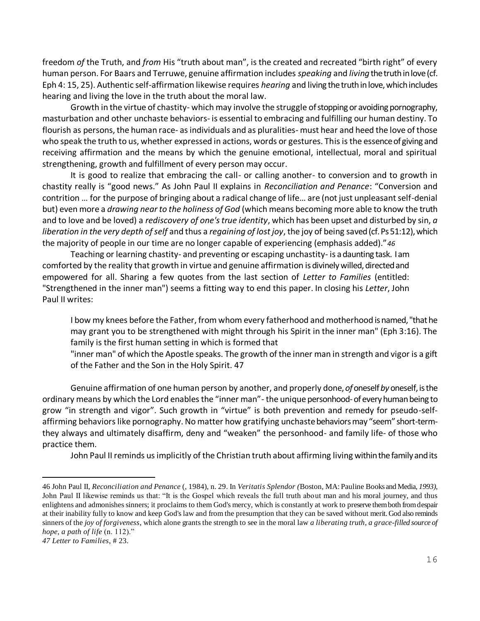freedom *of* the Truth, and *from* His "truth about man", is the created and recreated "birth right" of every human person. For Baars and Terruwe, genuine affirmation includes *speaking* and *living* the truth in love (cf. Eph 4: 15, 25). Authentic self-affirmation likewise requires *hearing* and living the truth in love, which includes hearing and living the love in the truth about the moral law.

Growth in the virtue of chastity- which may involve the struggle of stopping or avoiding pornography, masturbation and other unchaste behaviors- is essential to embracing and fulfilling our human destiny. To flourish as persons, the human race- as individuals and as pluralities- must hear and heed the love of those who speak the truth to us, whether expressed in actions, words or gestures. This is the essence of giving and receiving affirmation and the means by which the genuine emotional, intellectual, moral and spiritual strengthening, growth and fulfillment of every person may occur.

It is good to realize that embracing the call- or calling another- to conversion and to growth in chastity really is "good news." As John Paul II explains in *Reconciliation and Penance*: "Conversion and contrition … for the purpose of bringing about a radical change of life… are (not just unpleasant self-denial but) even more a *drawing near to the holiness of God* (which means becoming more able to know the truth and to love and be loved) a *rediscovery of one's true identity*, which has been upset and disturbed by sin, *a liberation in the very depth of self* and thus a *regaining of lost joy*, the joy of being saved (cf. Ps 51:12), which the majority of people in our time are no longer capable of experiencing (emphasis added)."*46*

Teaching or learning chastity- and preventing or escaping unchastity- is a daunting task. I am comforted by the reality that growth in virtue and genuine affirmation is divinely willed, directed and empowered for all. Sharing a few quotes from the last section of *Letter to Families* (entitled: "Strengthened in the inner man") seems a fitting way to end this paper. In closing his *Letter*, John Paul II writes:

I bow my knees before the Father, from whom every fatherhood and motherhood is named, "that he may grant you to be strengthened with might through his Spirit in the inner man" (Eph 3:16). The family is the first human setting in which is formed that

"inner man" of which the Apostle speaks. The growth of the inner man in strength and vigor is a gift of the Father and the Son in the Holy Spirit. 47

Genuine affirmation of one human person by another, and properly done, *of* oneself *by*oneself, is the ordinary means by which the Lord enables the "inner man"- the unique personhood-of every human being to grow "in strength and vigor". Such growth in "virtue" is both prevention and remedy for pseudo-selfaffirming behaviors like pornography. No matter how gratifying unchaste behaviors may "seem" short-termthey always and ultimately disaffirm, deny and "weaken" the personhood- and family life- of those who practice them.

John Paul II reminds us implicitly of the Christian truth about affirming living within the family and its

<sup>46</sup> John Paul II, *Reconciliation and Penance* (, 1984), n. 29. In *Veritatis Splendor (*Boston, MA: Pauline Books and Media, *1993)*, John Paul II likewise reminds us that: "It is the Gospel which reveals the full truth about man and his moral journey, and thus enlightens and admonishes sinners; it proclaims to them God's mercy, which is constantly at work to preserve them both from despair at their inability fully to know and keep God's law and from the presumption that they can be saved without merit. God also reminds sinners of the *joy of forgiveness*, which alone grants the strength to see in the moral law *a liberating truth, a grace-filled source of hope, a path of life* (n. 112)."

*<sup>47</sup> Letter to Families*, # 23.